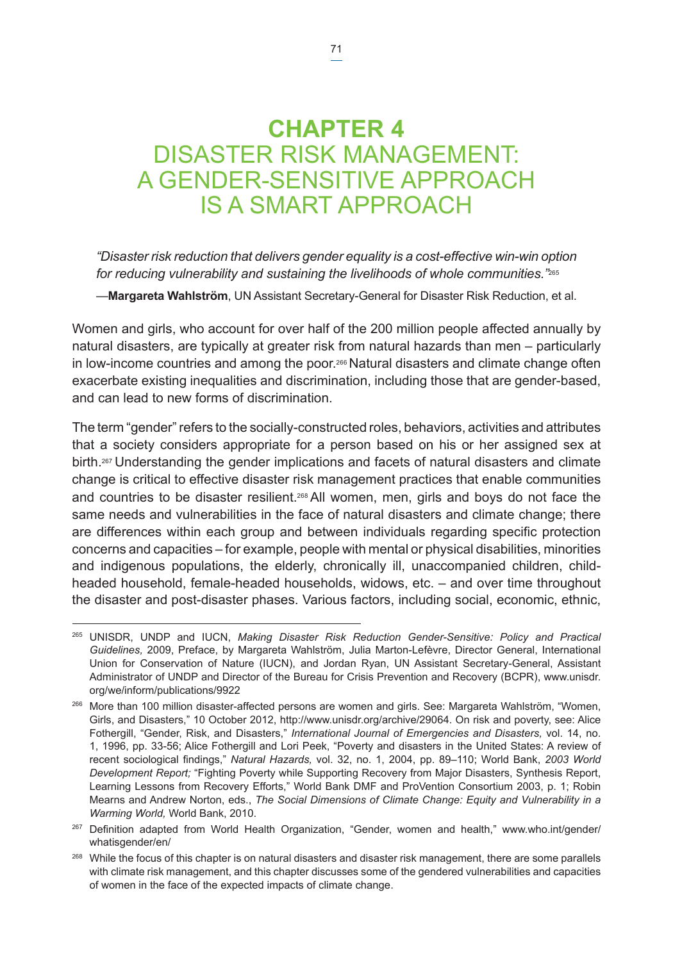# **CHAPTER 4** DISASTER RISK MANAGEMENT: A GENDER-SENSITIVE APPROACH IS A SMART APPROACH

*"Disaster risk reduction that delivers gender equality is a cost-effective win-win option for reducing vulnerability and sustaining the livelihoods of whole communities."*<sup>265</sup>

—**Margareta Wahlström**, UN Assistant Secretary-General for Disaster Risk Reduction, et al.

Women and girls, who account for over half of the 200 million people affected annually by natural disasters, are typically at greater risk from natural hazards than men – particularly in low-income countries and among the poor.<sup>266</sup> Natural disasters and climate change often exacerbate existing inequalities and discrimination, including those that are gender-based, and can lead to new forms of discrimination.

The term "gender" refers to the socially-constructed roles, behaviors, activities and attributes that a society considers appropriate for a person based on his or her assigned sex at birth.267 Understanding the gender implications and facets of natural disasters and climate change is critical to effective disaster risk management practices that enable communities and countries to be disaster resilient.<sup>268</sup> All women, men, girls and boys do not face the same needs and vulnerabilities in the face of natural disasters and climate change; there are differences within each group and between individuals regarding specific protection concerns and capacities – for example, people with mental or physical disabilities, minorities and indigenous populations, the elderly, chronically ill, unaccompanied children, childheaded household, female-headed households, widows, etc. – and over time throughout the disaster and post-disaster phases. Various factors, including social, economic, ethnic,

<sup>265</sup> UNISDR, UNDP and IUCN, *Making Disaster Risk Reduction Gender-Sensitive: Policy and Practical Guidelines,* 2009, Preface, by Margareta Wahlström, Julia Marton-Lefèvre, Director General, International Union for Conservation of Nature (IUCN), and Jordan Ryan, UN Assistant Secretary-General, Assistant Administrator of UNDP and Director of the Bureau for Crisis Prevention and Recovery (BCPR), [www.unisdr.](www.unisdr.org/we/inform/publications/9922) [org/we/inform/publications/9922](www.unisdr.org/we/inform/publications/9922)

<sup>266</sup> More than 100 million disaster-affected persons are women and girls. See: Margareta Wahlström, "Women, Girls, and Disasters," 10 October 2012, <http://www.unisdr.org/archive/29064>. On risk and poverty, see: Alice Fothergill, "Gender, Risk, and Disasters," *International Journal of Emergencies and Disasters,* vol. 14, no. 1, 1996, pp. 33-56; Alice Fothergill and Lori Peek, "Poverty and disasters in the United States: A review of recent sociological findings," *Natural Hazards,* vol. 32, no. 1, 2004, pp. 89–110; World Bank, *2003 World Development Report;* "Fighting Poverty while Supporting Recovery from Major Disasters, Synthesis Report, Learning Lessons from Recovery Efforts," World Bank DMF and ProVention Consortium 2003, p. 1; Robin Mearns and Andrew Norton, eds., *The Social Dimensions of Climate Change: Equity and Vulnerability in a Warming World,* World Bank, 2010.

<sup>&</sup>lt;sup>267</sup> Definition adapted from World Health Organization, "Gender, women and health," [www.who.int/gender/](www.who.int/gender/whatisgender/en) [whatisgender/en/](www.who.int/gender/whatisgender/en)

<sup>&</sup>lt;sup>268</sup> While the focus of this chapter is on natural disasters and disaster risk management, there are some parallels with climate risk management, and this chapter discusses some of the gendered vulnerabilities and capacities of women in the face of the expected impacts of climate change.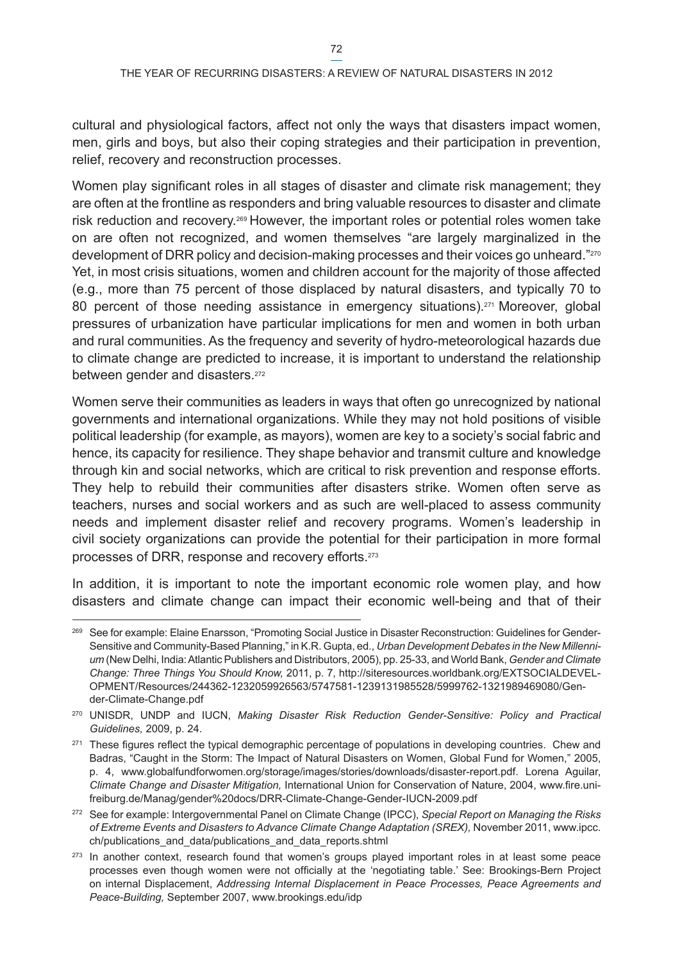cultural and physiological factors, affect not only the ways that disasters impact women, men, girls and boys, but also their coping strategies and their participation in prevention, relief, recovery and reconstruction processes.

Women play significant roles in all stages of disaster and climate risk management; they are often at the frontline as responders and bring valuable resources to disaster and climate risk reduction and recovery.269 However, the important roles or potential roles women take on are often not recognized, and women themselves "are largely marginalized in the development of DRR policy and decision-making processes and their voices go unheard."270 Yet, in most crisis situations, women and children account for the majority of those affected (e.g., more than 75 percent of those displaced by natural disasters, and typically 70 to 80 percent of those needing assistance in emergency situations).<sup>271</sup> Moreover, global pressures of urbanization have particular implications for men and women in both urban and rural communities. As the frequency and severity of hydro-meteorological hazards due to climate change are predicted to increase, it is important to understand the relationship between gender and disasters.<sup>272</sup>

Women serve their communities as leaders in ways that often go unrecognized by national governments and international organizations. While they may not hold positions of visible political leadership (for example, as mayors), women are key to a society's social fabric and hence, its capacity for resilience. They shape behavior and transmit culture and knowledge through kin and social networks, which are critical to risk prevention and response efforts. They help to rebuild their communities after disasters strike. Women often serve as teachers, nurses and social workers and as such are well-placed to assess community needs and implement disaster relief and recovery programs. Women's leadership in civil society organizations can provide the potential for their participation in more formal processes of DRR, response and recovery efforts.273

In addition, it is important to note the important economic role women play, and how disasters and climate change can impact their economic well-being and that of their

<sup>&</sup>lt;sup>269</sup> See for example: Elaine Enarsson, "Promoting Social Justice in Disaster Reconstruction: Guidelines for Gender-Sensitive and Community-Based Planning," in K.R. Gupta, ed., *Urban Development Debates in the New Millennium* (New Delhi, India: Atlantic Publishers and Distributors, 2005), pp. 25-33, and World Bank, *Gender and Climate Change: Three Things You Should Know,* 2011, p. 7, [http://siteresources.worldbank.org/EXTSOCIALDEVEL-](http://siteresources.worldbank.org/EXTSOCIALDEVELOPMENT/Resources/244362-1232059926563/5747581-1239131985528/5999762-1321989469080/Gender-Climate-Change.pdf)[OPMENT/Resources/244362-1232059926563/5747581-1239131985528/5999762-1321989469080/Gen](http://siteresources.worldbank.org/EXTSOCIALDEVELOPMENT/Resources/244362-1232059926563/5747581-1239131985528/5999762-1321989469080/Gender-Climate-Change.pdf)[der-Climate-Change.pdf](http://siteresources.worldbank.org/EXTSOCIALDEVELOPMENT/Resources/244362-1232059926563/5747581-1239131985528/5999762-1321989469080/Gender-Climate-Change.pdf)

<sup>270</sup> UNISDR, UNDP and IUCN, *Making Disaster Risk Reduction Gender-Sensitive: Policy and Practical Guidelines,* 2009, p. 24.

<sup>&</sup>lt;sup>271</sup> These figures reflect the typical demographic percentage of populations in developing countries. Chew and Badras, "Caught in the Storm: The Impact of Natural Disasters on Women, Global Fund for Women," 2005, p. 4, <www.globalfundforwomen.org/storage/images/stories/downloads/disaster><-report.pdf>. Lorena Aguilar, *Climate Change and Disaster Mitigation,* International Union for Conservation of Nature, 2004,<www.fire.uni>[freiburg.de/Manag/gender](-freiburg.de/Manag/gender)%20docs[/DRR-Climate-Change-Gender-IUCN-2009.pdf](DRR-Climate-Change-Gender-IUCN-2009.pdf)

<sup>272</sup> See for example: Intergovernmental Panel on Climate Change (IPCC), *Special Report on Managing the Risks of Extreme Events and Disasters to Advance Climate Change Adaptation (SREX),* November 2011, [www.ipcc.](www.ipcc.ch/publications_and_data/publications_and_data_reports.shtml) [ch/publications\\_and\\_data/publications\\_and\\_data\\_reports.shtml](www.ipcc.ch/publications_and_data/publications_and_data_reports.shtml)

<sup>&</sup>lt;sup>273</sup> In another context, research found that women's groups played important roles in at least some peace processes even though women were not officially at the 'negotiating table.' See: Brookings-Bern Project on internal Displacement, *Addressing Internal Displacement in Peace Processes, Peace Agreements and Peace-Building,* September 2007, <www.brookings.edu/idp>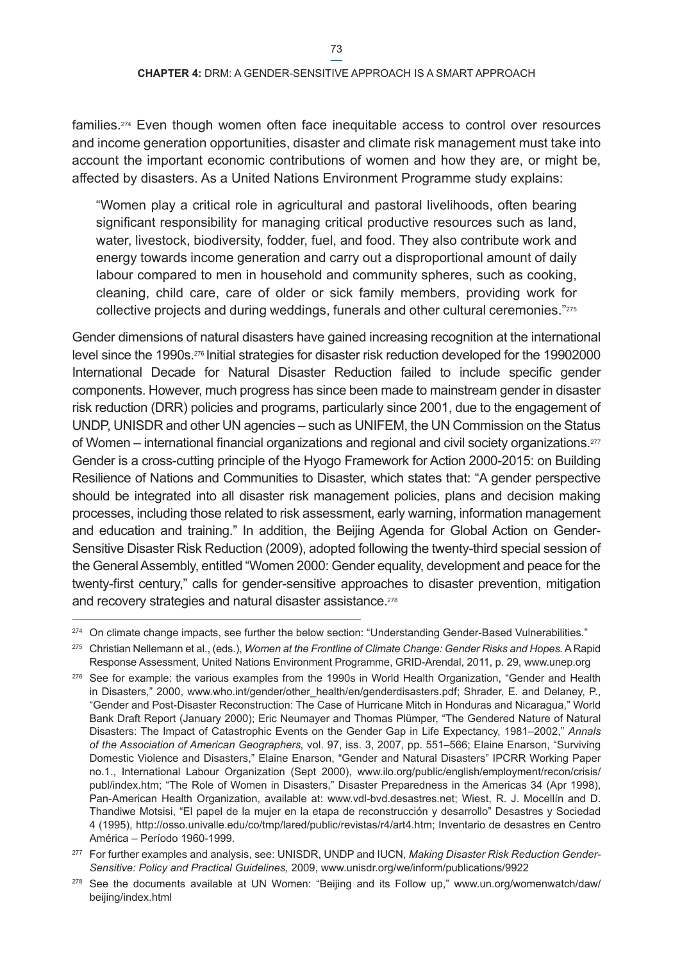families.274 Even though women often face inequitable access to control over resources and income generation opportunities, disaster and climate risk management must take into account the important economic contributions of women and how they are, or might be, affected by disasters. As a United Nations Environment Programme study explains:

"Women play a critical role in agricultural and pastoral livelihoods, often bearing significant responsibility for managing critical productive resources such as land, water, livestock, biodiversity, fodder, fuel, and food. They also contribute work and energy towards income generation and carry out a disproportional amount of daily labour compared to men in household and community spheres, such as cooking, cleaning, child care, care of older or sick family members, providing work for collective projects and during weddings, funerals and other cultural ceremonies."275

Gender dimensions of natural disasters have gained increasing recognition at the international level since the 1990s.276 Initial strategies for disaster risk reduction developed for the 19902000 International Decade for Natural Disaster Reduction failed to include specific gender components. However, much progress has since been made to mainstream gender in disaster risk reduction (DRR) policies and programs, particularly since 2001, due to the engagement of UNDP, UNISDR and other UN agencies – such as UNIFEM, the UN Commission on the Status of Women – international financial organizations and regional and civil society organizations.<sup>277</sup> Gender is a cross-cutting principle of the Hyogo Framework for Action 2000-2015: on Building Resilience of Nations and Communities to Disaster, which states that: "A gender perspective should be integrated into all disaster risk management policies, plans and decision making processes, including those related to risk assessment, early warning, information management and education and training." In addition, the Beijing Agenda for Global Action on Gender-Sensitive Disaster Risk Reduction (2009), adopted following the twenty-third special session of the General Assembly, entitled "Women 2000: Gender equality, development and peace for the twenty-first century," calls for gender-sensitive approaches to disaster prevention, mitigation and recovery strategies and natural disaster assistance.<sup>278</sup>

<sup>&</sup>lt;sup>274</sup> On climate change impacts, see further the below section: "Understanding Gender-Based Vulnerabilities."

<sup>275</sup> Christian Nellemann et al., (eds.), *Women at the Frontline of Climate Change: Gender Risks and Hopes.* A Rapid Response Assessment, United Nations Environment Programme, GRID-Arendal, 2011, p. 29, <www.unep.org>

<sup>&</sup>lt;sup>276</sup> See for example: the various examples from the 1990s in World Health Organization, "Gender and Health in Disasters," 2000, [www.who.int/gender/other\\_health/en/genderdisasters.pdf](www.who.int/gender/other_health/en/genderdisasters.pdf); Shrader, E. and Delaney, P., "Gender and Post-Disaster Reconstruction: The Case of Hurricane Mitch in Honduras and Nicaragua," World Bank Draft Report (January 2000); Eric Neumayer and Thomas Plümper, "The Gendered Nature of Natural Disasters: The Impact of Catastrophic Events on the Gender Gap in Life Expectancy, 1981–2002," *Annals of the Association of American Geographers,* vol. 97, iss. 3, 2007, pp. 551–566; Elaine Enarson, "Surviving Domestic Violence and Disasters," Elaine Enarson, "Gender and Natural Disasters" IPCRR Working Paper no.1., International Labour Organization (Sept 2000), [www.ilo.org/public/english/employment/recon/crisis/](www.ilo.org/public/english/employment/recon/crisis/publ/index.htm) [publ/index.htm](www.ilo.org/public/english/employment/recon/crisis/publ/index.htm); "The Role of Women in Disasters," Disaster Preparedness in the Americas 34 (Apr 1998), Pan-American Health Organization, available at: <www.vdl-bvd.desastres.net>; Wiest, R. J. Mocellín and D. Thandiwe Motsisi, "El papel de la mujer en la etapa de reconstrucción y desarrollo" Desastres y Sociedad 4 (1995), [http://osso.univalle.edu/co/tmp/lared/public/revistas/r4/art4.htm;](http://osso.univalle.edu/co/tmp/lared/public/revistas/r4/art4.htm) Inventario de desastres en Centro América – Período 1960-1999.

<sup>277</sup> For further examples and analysis, see: UNISDR, UNDP and IUCN, *Making Disaster Risk Reduction Gender-Sensitive: Policy and Practical Guidelines,* 2009,<www.unisdr.org/we/inform/publications/9922>

<sup>&</sup>lt;sup>278</sup> See the documents available at UN Women: "Beijing and its Follow up," [www.un.org/womenwatch/daw/](www.un.org/womenwatch/daw/beijing/index.html) [beijing/index.html](www.un.org/womenwatch/daw/beijing/index.html)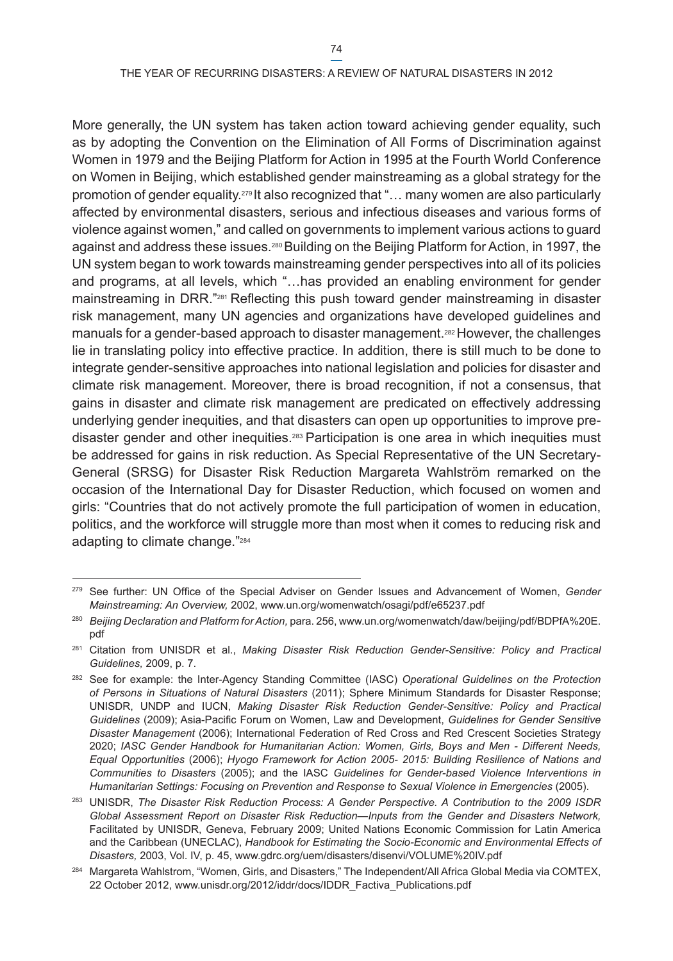More generally, the UN system has taken action toward achieving gender equality, such as by adopting the Convention on the Elimination of All Forms of Discrimination against Women in 1979 and the Beijing Platform for Action in 1995 at the Fourth World Conference on Women in Beijing, which established gender mainstreaming as a global strategy for the promotion of gender equality.<sup>279</sup> It also recognized that "... many women are also particularly affected by environmental disasters, serious and infectious diseases and various forms of violence against women," and called on governments to implement various actions to guard against and address these issues.<sup>280</sup> Building on the Beijing Platform for Action, in 1997, the UN system began to work towards mainstreaming gender perspectives into all of its policies and programs, at all levels, which "…has provided an enabling environment for gender mainstreaming in DRR."281 Reflecting this push toward gender mainstreaming in disaster risk management, many UN agencies and organizations have developed guidelines and manuals for a gender-based approach to disaster management.<sup>282</sup> However, the challenges lie in translating policy into effective practice. In addition, there is still much to be done to integrate gender-sensitive approaches into national legislation and policies for disaster and climate risk management. Moreover, there is broad recognition, if not a consensus, that gains in disaster and climate risk management are predicated on effectively addressing underlying gender inequities, and that disasters can open up opportunities to improve predisaster gender and other inequities.283 Participation is one area in which inequities must be addressed for gains in risk reduction. As Special Representative of the UN Secretary-General (SRSG) for Disaster Risk Reduction Margareta Wahlström remarked on the occasion of the International Day for Disaster Reduction, which focused on women and girls: "Countries that do not actively promote the full participation of women in education, politics, and the workforce will struggle more than most when it comes to reducing risk and adapting to climate change."284

<sup>279</sup> See further: UN Office of the Special Adviser on Gender Issues and Advancement of Women, *Gender Mainstreaming: An Overview,* 2002,<www.un.org/womenwatch/osagi/pdf/e65237.pdf>

<sup>280</sup> *Beijing Declaration and Platform for Action,* para. 256, [www.un.org/womenwatch/daw/beijing/pdf/BDPfA%20E.](www.un.org/womenwatch/daw/beijing/pdf/BDPfA%20E.pdf) [pdf](www.un.org/womenwatch/daw/beijing/pdf/BDPfA%20E.pdf)

<sup>281</sup> Citation from UNISDR et al., *Making Disaster Risk Reduction Gender-Sensitive: Policy and Practical Guidelines,* 2009, p. 7.

<sup>282</sup> See for example: the Inter-Agency Standing Committee (IASC) *Operational Guidelines on the Protection of Persons in Situations of Natural Disasters* (2011); Sphere Minimum Standards for Disaster Response; UNISDR, UNDP and IUCN, *Making Disaster Risk Reduction Gender-Sensitive: Policy and Practical Guidelines* (2009); Asia-Pacific Forum on Women, Law and Development, *Guidelines for Gender Sensitive Disaster Management* (2006); International Federation of Red Cross and Red Crescent Societies Strategy 2020; *IASC Gender Handbook for Humanitarian Action: Women, Girls, Boys and Men - Different Needs, Equal Opportunities* (2006); *Hyogo Framework for Action 2005- 2015: Building Resilience of Nations and Communities to Disasters* (2005); and the IASC *Guidelines for Gender-based Violence Interventions in Humanitarian Settings: Focusing on Prevention and Response to Sexual Violence in Emergencies* (2005).

<sup>283</sup> UNISDR, *The Disaster Risk Reduction Process: A Gender Perspective. A Contribution to the 2009 ISDR Global Assessment Report on Disaster Risk Reduction—Inputs from the Gender and Disasters Network,*  Facilitated by UNISDR, Geneva, February 2009; United Nations Economic Commission for Latin America and the Caribbean (UNECLAC), *Handbook for Estimating the Socio-Economic and Environmental Effects of Disasters,* 2003, Vol. IV, p. 45,<www.gdrc.org/uem/disasters/disenvi/VOLUME%20IV.pdf>

<sup>284</sup> Margareta Wahlstrom, "Women, Girls, and Disasters," The Independent/All Africa Global Media via COMTEX, 22 October 2012, [www.unisdr.org/2012/iddr/docs/IDDR\\_Factiva\\_Publications.pdf](www.unisdr.org/2012/iddr/docs/IDDR_Factiva_Publications.pdf)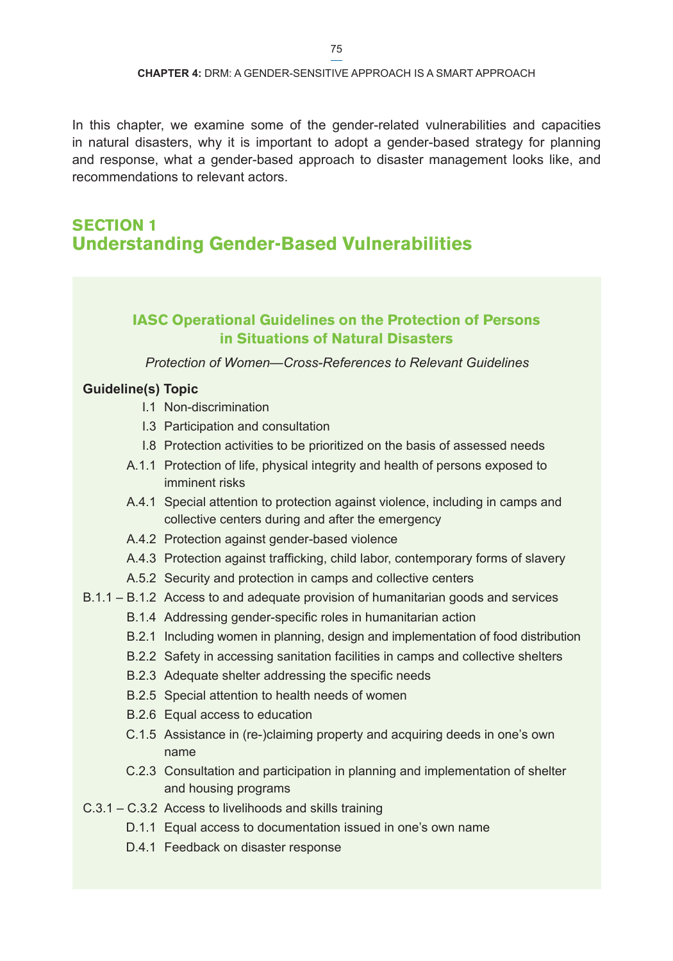In this chapter, we examine some of the gender-related vulnerabilities and capacities in natural disasters, why it is important to adopt a gender-based strategy for planning and response, what a gender-based approach to disaster management looks like, and recommendations to relevant actors.

# **Section 1 Understanding Gender-Based Vulnerabilities**

# **IASC Operational Guidelines on the Protection of Persons in Situations of Natural Disasters**

#### *Protection of Women—Cross-References to Relevant Guidelines*

#### **Guideline(s) Topic**

- I.1 Non-discrimination
- I.3 Participation and consultation
- I.8 Protection activities to be prioritized on the basis of assessed needs
- A.1.1 Protection of life, physical integrity and health of persons exposed to imminent risks
- A.4.1 Special attention to protection against violence, including in camps and collective centers during and after the emergency
- A.4.2 Protection against gender-based violence
- A.4.3 Protection against trafficking, child labor, contemporary forms of slavery
- A.5.2 Security and protection in camps and collective centers
- B.1.1 B.1.2 Access to and adequate provision of humanitarian goods and services
	- B.1.4 Addressing gender-specific roles in humanitarian action
	- B.2.1 Including women in planning, design and implementation of food distribution
	- B.2.2 Safety in accessing sanitation facilities in camps and collective shelters
	- B.2.3 Adequate shelter addressing the specific needs
	- B.2.5 Special attention to health needs of women
	- B.2.6 Equal access to education
	- C.1.5 Assistance in (re-)claiming property and acquiring deeds in one's own name
	- C.2.3 Consultation and participation in planning and implementation of shelter and housing programs
- C.3.1 C.3.2 Access to livelihoods and skills training
	- D.1.1 Equal access to documentation issued in one's own name
	- D.4.1 Feedback on disaster response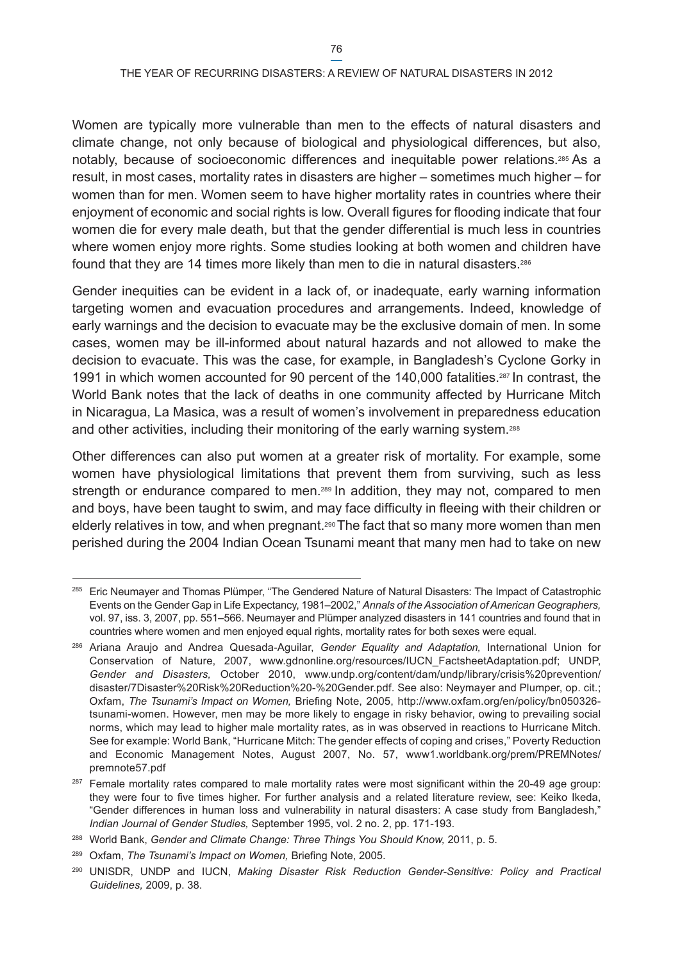THE YEAR OF RECURRING DISASTERS: A REVIEW OF NATURAL DISASTERS IN 2012

Women are typically more vulnerable than men to the effects of natural disasters and climate change, not only because of biological and physiological differences, but also, notably, because of socioeconomic differences and inequitable power relations.285 As a result, in most cases, mortality rates in disasters are higher – sometimes much higher – for women than for men. Women seem to have higher mortality rates in countries where their enjoyment of economic and social rights is low. Overall figures for flooding indicate that four women die for every male death, but that the gender differential is much less in countries where women enjoy more rights. Some studies looking at both women and children have found that they are 14 times more likely than men to die in natural disasters.286

Gender inequities can be evident in a lack of, or inadequate, early warning information targeting women and evacuation procedures and arrangements. Indeed, knowledge of early warnings and the decision to evacuate may be the exclusive domain of men. In some cases, women may be ill-informed about natural hazards and not allowed to make the decision to evacuate. This was the case, for example, in Bangladesh's Cyclone Gorky in 1991 in which women accounted for 90 percent of the 140,000 fatalities.287 In contrast, the World Bank notes that the lack of deaths in one community affected by Hurricane Mitch in Nicaragua, La Masica, was a result of women's involvement in preparedness education and other activities, including their monitoring of the early warning system.288

Other differences can also put women at a greater risk of mortality. For example, some women have physiological limitations that prevent them from surviving, such as less strength or endurance compared to men.<sup>289</sup> In addition, they may not, compared to men and boys, have been taught to swim, and may face difficulty in fleeing with their children or elderly relatives in tow, and when pregnant. $290$ The fact that so many more women than men perished during the 2004 Indian Ocean Tsunami meant that many men had to take on new

<sup>&</sup>lt;sup>285</sup> Eric Neumayer and Thomas Plümper, "The Gendered Nature of Natural Disasters: The Impact of Catastrophic Events on the Gender Gap in Life Expectancy, 1981–2002," *Annals of the Association of American Geographers,*  vol. 97, iss. 3, 2007, pp. 551–566. Neumayer and Plümper analyzed disasters in 141 countries and found that in countries where women and men enjoyed equal rights, mortality rates for both sexes were equal.

<sup>286</sup> Ariana Araujo and Andrea Quesada-Aguilar, *Gender Equality and Adaptation,* International Union for Conservation of Nature, 2007, [www.gdnonline.org/resources/IUCN\\_FactsheetAdaptation.pdf](www.gdnonline.org/resources/IUCN_FactsheetAdaptation.pdf); UNDP, *Gender and Disasters,* October 2010, [www.undp.org/content/dam/undp/library/crisis%20prevention/](www.undp.org/content/dam/undp/library/crisis%20prevention/disaster/7Disaster%20Risk%20Reduction%20-%20Gender.pdf) [disaster/7Disaster%20Risk%20Reduction%20-%20Gender.pdf](www.undp.org/content/dam/undp/library/crisis%20prevention/disaster/7Disaster%20Risk%20Reduction%20-%20Gender.pdf). See also: Neymayer and Plumper, op. cit.; Oxfam, *The Tsunami's Impact on Women,* Briefing Note, 2005, [http://www.oxfam.org/en/policy/bn050326](http://www.oxfam.org/en/policy/bn050326-tsunami-women) [tsunami-women.](http://www.oxfam.org/en/policy/bn050326-tsunami-women) However, men may be more likely to engage in risky behavior, owing to prevailing social norms, which may lead to higher male mortality rates, as in was observed in reactions to Hurricane Mitch. See for example: World Bank, "Hurricane Mitch: The gender effects of coping and crises," Poverty Reduction and Economic Management Notes, August 2007, No. 57, [www1.worldbank.org/prem/PREMNotes/](www1.worldbank.org/prem/PREMNotes/premnote57.pdf) [premnote57.pdf](www1.worldbank.org/prem/PREMNotes/premnote57.pdf)

<sup>&</sup>lt;sup>287</sup> Female mortality rates compared to male mortality rates were most significant within the 20-49 age group: they were four to five times higher. For further analysis and a related literature review, see: Keiko Ikeda, "Gender differences in human loss and vulnerability in natural disasters: A case study from Bangladesh," *Indian Journal of Gender Studies,* September 1995, vol. 2 no. 2, pp. 171-193.

<sup>288</sup> World Bank, *Gender and Climate Change: Three Things You Should Know,* 2011, p. 5.

<sup>289</sup> Oxfam, *The Tsunami's Impact on Women,* Briefing Note, 2005.

<sup>290</sup> UNISDR, UNDP and IUCN, *Making Disaster Risk Reduction Gender-Sensitive: Policy and Practical Guidelines,* 2009, p. 38.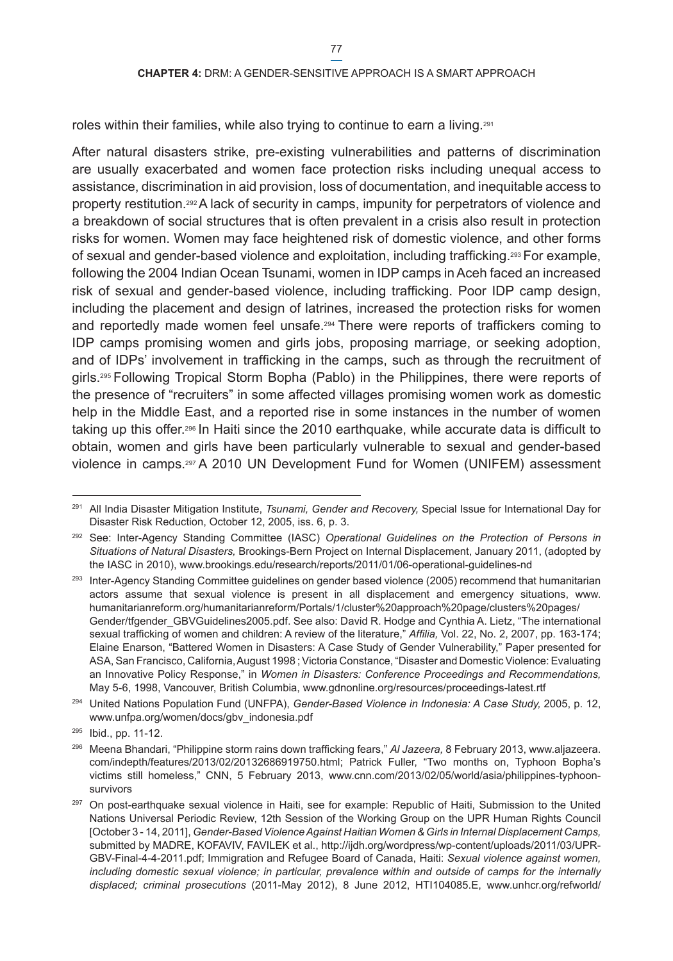roles within their families, while also trying to continue to earn a living.<sup>291</sup>

After natural disasters strike, pre-existing vulnerabilities and patterns of discrimination are usually exacerbated and women face protection risks including unequal access to assistance, discrimination in aid provision, loss of documentation, and inequitable access to property restitution.292A lack of security in camps, impunity for perpetrators of violence and a breakdown of social structures that is often prevalent in a crisis also result in protection risks for women. Women may face heightened risk of domestic violence, and other forms of sexual and gender-based violence and exploitation, including trafficking.293For example, following the 2004 Indian Ocean Tsunami, women in IDP camps in Aceh faced an increased risk of sexual and gender-based violence, including trafficking. Poor IDP camp design, including the placement and design of latrines, increased the protection risks for women and reportedly made women feel unsafe.<sup>294</sup> There were reports of traffickers coming to IDP camps promising women and girls jobs, proposing marriage, or seeking adoption, and of IDPs' involvement in trafficking in the camps, such as through the recruitment of girls.295 Following Tropical Storm Bopha (Pablo) in the Philippines, there were reports of the presence of "recruiters" in some affected villages promising women work as domestic help in the Middle East, and a reported rise in some instances in the number of women taking up this offer.296 In Haiti since the 2010 earthquake, while accurate data is difficult to obtain, women and girls have been particularly vulnerable to sexual and gender-based violence in camps.297 A 2010 UN Development Fund for Women (UNIFEM) assessment

<sup>291</sup> All India Disaster Mitigation Institute, *Tsunami, Gender and Recovery,* Special Issue for International Day for Disaster Risk Reduction, October 12, 2005, iss. 6, p. 3.

<sup>292</sup> See: Inter-Agency Standing Committee (IASC) *Operational Guidelines on the Protection of Persons in Situations of Natural Disasters,* Brookings-Bern Project on Internal Displacement, January 2011, (adopted by the IASC in 2010), <www.brookings.edu/research/reports/2011/01/06-operational-guidelines-nd>

<sup>&</sup>lt;sup>293</sup> Inter-Agency Standing Committee guidelines on gender based violence (2005) recommend that humanitarian actors assume that sexual violence is present in all displacement and emergency situations, [www.](www.humanitarianreform.org/humanitarianreform/Portals/1/cluster%20approach%20page/clusters%20pages/Gender/tfgender_GBVGuidelines2005.pdf) [humanitarianreform.org/humanitarianreform/Portals/1/cluster%20approach%20page/clusters%20pages/](www.humanitarianreform.org/humanitarianreform/Portals/1/cluster%20approach%20page/clusters%20pages/Gender/tfgender_GBVGuidelines2005.pdf) [Gender/tfgender\\_GBVGuidelines2005.pdf.](www.humanitarianreform.org/humanitarianreform/Portals/1/cluster%20approach%20page/clusters%20pages/Gender/tfgender_GBVGuidelines2005.pdf) See also: David R. Hodge and Cynthia A. Lietz, "The international sexual trafficking of women and children: A review of the literature," *Affilia,* Vol. 22, No. 2, 2007, pp. 163-174; Elaine Enarson, "Battered Women in Disasters: A Case Study of Gender Vulnerability," Paper presented for ASA, San Francisco, California, August 1998 ; Victoria Constance, "Disaster and Domestic Violence: Evaluating an Innovative Policy Response," in *Women in Disasters: Conference Proceedings and Recommendations,*  May 5-6, 1998, Vancouver, British Columbia, <www.gdnonline.org/resources/proceedings><-latest.rtf>

<sup>294</sup> United Nations Population Fund (UNFPA), *Gender-Based Violence in Indonesia: A Case Study,* 2005, p. 12, [www.unfpa.org/women/docs/gbv\\_indonesia.pdf](www.unfpa.org/women/docs/gbv_indonesia.pdf)

<sup>295</sup> Ibid., pp. 11-12.

<sup>296</sup> Meena Bhandari, "Philippine storm rains down trafficking fears," *Al Jazeera,* 8 February 2013, [www.aljazeera.](www.aljazeera.com/indepth/features/2013/02/20132686919750.html) [com/indepth/features/2013/02/20132686919750.html;](www.aljazeera.com/indepth/features/2013/02/20132686919750.html) Patrick Fuller, "Two months on, Typhoon Bopha's victims still homeless," CNN, 5 February 2013, [www.cnn.com/2013/02/05/world/asia/philippines-typhoon](www.cnn.com/2013/02/05/world/asia/philippines-typhoon-survivors)[survivors](www.cnn.com/2013/02/05/world/asia/philippines-typhoon-survivors)

<sup>&</sup>lt;sup>297</sup> On post-earthquake sexual violence in Haiti, see for example: Republic of Haiti, Submission to the United Nations Universal Periodic Review, 12th Session of the Working Group on the UPR Human Rights Council [October 3 - 14, 2011], *Gender-Based Violence Against Haitian Women & Girls in Internal Displacement Camps,*  submitted by MADRE, KOFAVIV, FAVILEK et al., [http://ijdh.org/wordpress/wp-content/uploads/2011/03/UPR-](http://ijdh.org/wordpress/wp-content/uploads/2011/03/UPR-GBV-Final-4-4-2011.pdf)[GBV-Final-4-4-2011.pdf;](http://ijdh.org/wordpress/wp-content/uploads/2011/03/UPR-GBV-Final-4-4-2011.pdf) Immigration and Refugee Board of Canada, Haiti: *Sexual violence against women, including domestic sexual violence; in particular, prevalence within and outside of camps for the internally displaced; criminal prosecutions* (2011-May 2012), 8 June 2012, HTI104085.E, [www.unhcr.org/refworld/](www.unhcr.org/refworld/docid/4feaceb62.html)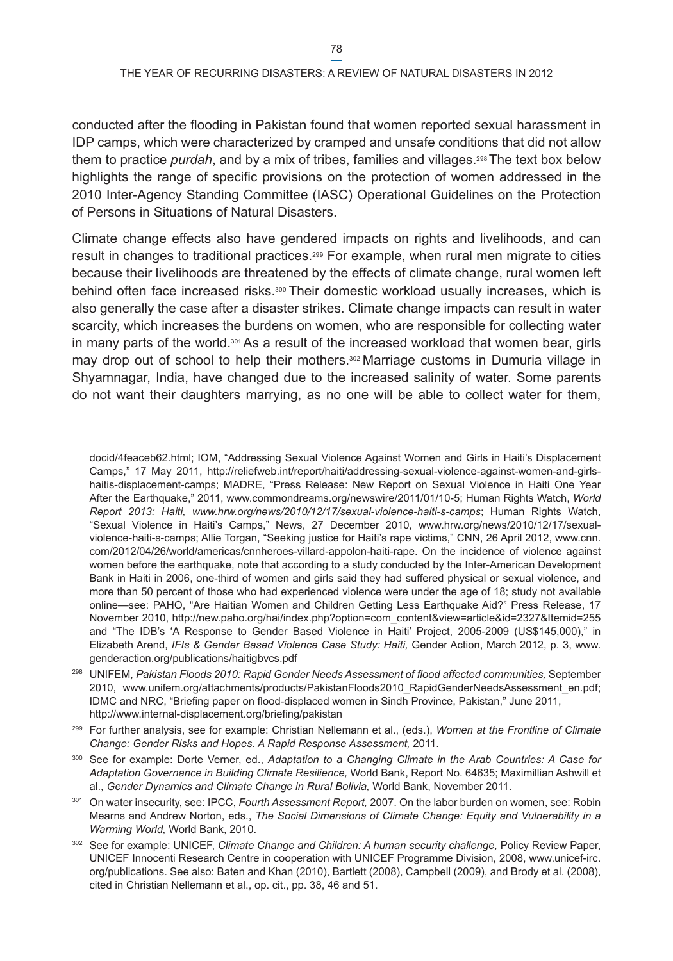78

#### THE YEAR OF RECURRING DISASTERS: A REVIEW OF NATURAL DISASTERS IN 2012

conducted after the flooding in Pakistan found that women reported sexual harassment in IDP camps, which were characterized by cramped and unsafe conditions that did not allow them to practice *purdah*, and by a mix of tribes, families and villages.298 The text box below highlights the range of specific provisions on the protection of women addressed in the 2010 Inter-Agency Standing Committee (IASC) Operational Guidelines on the Protection of Persons in Situations of Natural Disasters.

Climate change effects also have gendered impacts on rights and livelihoods, and can result in changes to traditional practices.299 For example, when rural men migrate to cities because their livelihoods are threatened by the effects of climate change, rural women left behind often face increased risks.300 Their domestic workload usually increases, which is also generally the case after a disaster strikes. Climate change impacts can result in water scarcity, which increases the burdens on women, who are responsible for collecting water in many parts of the world. $301$  As a result of the increased workload that women bear, girls may drop out of school to help their mothers.302 Marriage customs in Dumuria village in Shyamnagar, India, have changed due to the increased salinity of water. Some parents do not want their daughters marrying, as no one will be able to collect water for them,

[docid/4feaceb62.html](www.unhcr.org/refworld/docid/4feaceb62.html); IOM, "Addressing Sexual Violence Against Women and Girls in Haiti's Displacement Camps," 17 May 2011, [http://reliefweb.int/report/haiti/addressing-sexual-violence-against-women-and-girls](http://reliefweb.int/report/haiti/addressing-sexual-violence-against-women-and-girls-haitis-displacement-camps)[haitis-displacement-camps;](http://reliefweb.int/report/haiti/addressing-sexual-violence-against-women-and-girls-haitis-displacement-camps) MADRE, "Press Release: New Report on Sexual Violence in Haiti One Year After the Earthquake," 2011, <www.commondreams.org/newswire/2011/01/10-5>; Human Rights Watch, *World Report 2013: Haiti, <www.hrw.org/news/2010/12/17/sexual-violence-haiti-s-camps>*; Human Rights Watch, "Sexual Violence in Haiti's Camps," News, 27 December 2010, <www.hrw.org/news/2010/12/17/sexual>violence-haiti-s-camps; Allie Torgan, "Seeking justice for Haiti's rape victims," CNN, 26 April 2012, [www.cnn.](www.cnn.com/2012/04/26/world/americas/cnnheroes) [com/2012/04/26/world/americas/cnnheroes-](www.cnn.com/2012/04/26/world/americas/cnnheroes)villard-appolon-haiti-rape. On the incidence of violence against women before the earthquake, note that according to a study conducted by the Inter-American Development Bank in Haiti in 2006, one-third of women and girls said they had suffered physical or sexual violence, and more than 50 percent of those who had experienced violence were under the age of 18; study not available online—see: PAHO, "Are Haitian Women and Children Getting Less Earthquake Aid?" Press Release, 17 November 2010, [http://new.paho.org/hai/index.php?option=com\\_content&view=article&id=2327&Itemid=255](http://new.paho.org/hai/index.php?option=com_content&view=article&id=2327&Itemid=255)  and "The IDB's 'A Response to Gender Based Violence in Haiti' Project, 2005-2009 (US\$145,000)," in Elizabeth Arend, *IFIs & Gender Based Violence Case Study: Haiti,* Gender Action, March 2012, p. 3, [www.](www.genderaction.org/publications/haitigbvcs.pdf) [genderaction.org/publications/haitigbvcs.pdf](www.genderaction.org/publications/haitigbvcs.pdf)

<sup>298</sup> UNIFEM, *Pakistan Floods 2010: Rapid Gender Needs Assessment of flood affected communities,* September 2010, [www.unifem.org/attachments/products/PakistanFloods2010\\_RapidGenderNeedsAssessment\\_en.pdf;](www.unifem.org/attachments/products/PakistanFloods2010_RapidGenderNeedsAssessment_en.pdf) IDMC and NRC, "Briefing paper on flood-displaced women in Sindh Province, Pakistan," June 2011, <http://www.internal-displacement.org/briefing/pakistan>

<sup>299</sup> For further analysis, see for example: Christian Nellemann et al., (eds.), *Women at the Frontline of Climate Change: Gender Risks and Hopes. A Rapid Response Assessment,* 2011.

<sup>300</sup> See for example: Dorte Verner, ed., *Adaptation to a Changing Climate in the Arab Countries: A Case for Adaptation Governance in Building Climate Resilience,* World Bank, Report No. 64635; Maximillian Ashwill et al., *Gender Dynamics and Climate Change in Rural Bolivia,* World Bank, November 2011.

<sup>301</sup> On water insecurity, see: IPCC, *Fourth Assessment Report,* 2007. On the labor burden on women, see: Robin Mearns and Andrew Norton, eds., *The Social Dimensions of Climate Change: Equity and Vulnerability in a Warming World,* World Bank, 2010.

<sup>302</sup> See for example: UNICEF, *Climate Change and Children: A human security challenge,* Policy Review Paper, UNICEF Innocenti Research Centre in cooperation with UNICEF Programme Division, 2008,<www.unicef>[-irc.](-irc.org/publications) [org/publications](-irc.org/publications). See also: Baten and Khan (2010), Bartlett (2008), Campbell (2009), and Brody et al. (2008), cited in Christian Nellemann et al., op. cit., pp. 38, 46 and 51.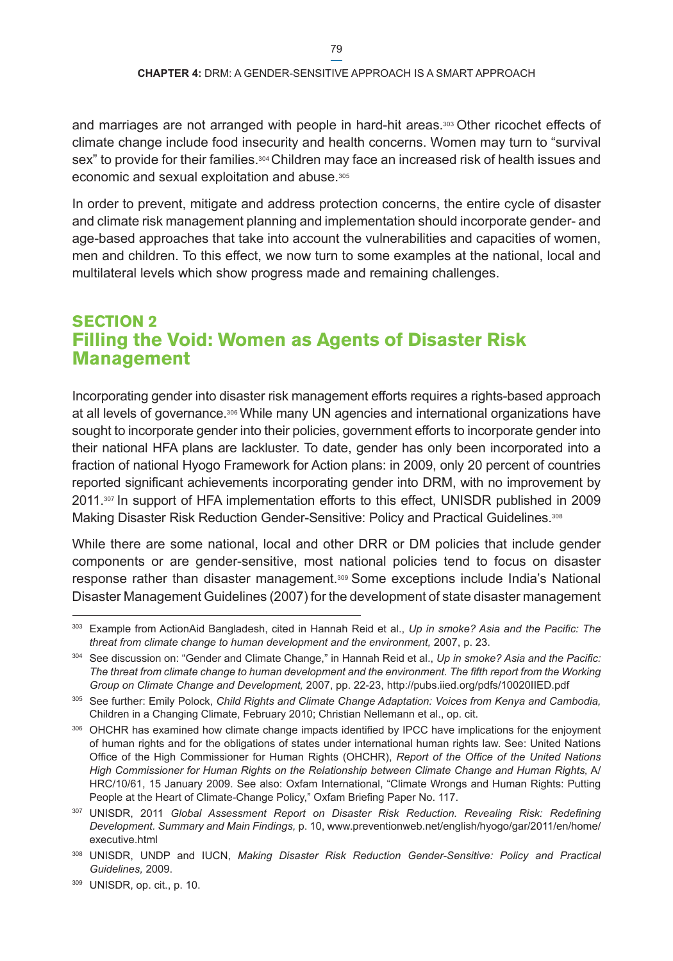and marriages are not arranged with people in hard-hit areas.<sup>303</sup> Other ricochet effects of climate change include food insecurity and health concerns. Women may turn to "survival sex" to provide for their families.<sup>304</sup> Children may face an increased risk of health issues and economic and sexual exploitation and abuse.305

In order to prevent, mitigate and address protection concerns, the entire cycle of disaster and climate risk management planning and implementation should incorporate gender- and age-based approaches that take into account the vulnerabilities and capacities of women, men and children. To this effect, we now turn to some examples at the national, local and multilateral levels which show progress made and remaining challenges.

# **Section 2 Filling the Void: Women as Agents of Disaster Risk Management**

Incorporating gender into disaster risk management efforts requires a rights-based approach at all levels of governance.<sup>306</sup> While many UN agencies and international organizations have sought to incorporate gender into their policies, government efforts to incorporate gender into their national HFA plans are lackluster. To date, gender has only been incorporated into a fraction of national Hyogo Framework for Action plans: in 2009, only 20 percent of countries reported significant achievements incorporating gender into DRM, with no improvement by 2011.307 In support of HFA implementation efforts to this effect, UNISDR published in 2009 Making Disaster Risk Reduction Gender-Sensitive: Policy and Practical Guidelines.308

While there are some national, local and other DRR or DM policies that include gender components or are gender-sensitive, most national policies tend to focus on disaster response rather than disaster management.309 Some exceptions include India's National Disaster Management Guidelines (2007) for the development of state disaster management

<sup>303</sup> Example from ActionAid Bangladesh, cited in Hannah Reid et al., *Up in smoke? Asia and the Pacific: The threat from climate change to human development and the environment,* 2007, p. 23.

<sup>304</sup> See discussion on: "Gender and Climate Change," in Hannah Reid et al., *Up in smoke? Asia and the Pacific: The threat from climate change to human development and the environment. The fifth report from the Working Group on Climate Change and Development,* 2007, pp. 22-23, <http://pubs.iied.org/pdfs/10020IIED.pdf>

<sup>305</sup> See further: Emily Polock, *Child Rights and Climate Change Adaptation: Voices from Kenya and Cambodia,*  Children in a Changing Climate, February 2010; Christian Nellemann et al., op. cit.

<sup>&</sup>lt;sup>306</sup> OHCHR has examined how climate change impacts identified by IPCC have implications for the enjoyment of human rights and for the obligations of states under international human rights law. See: United Nations Office of the High Commissioner for Human Rights (OHCHR), *Report of the Office of the United Nations High Commissioner for Human Rights on the Relationship between Climate Change and Human Rights,* A/ HRC/10/61, 15 January 2009. See also: Oxfam International, "Climate Wrongs and Human Rights: Putting People at the Heart of Climate-Change Policy," Oxfam Briefing Paper No. 117.

<sup>307</sup> UNISDR, 2011 *Global Assessment Report on Disaster Risk Reduction. Revealing Risk: Redefining Development. Summary and Main Findings,* p. 10, [www.preventionweb.net/english/hyogo/gar/2011/en/home/](www.preventionweb.net/english/hyogo/gar/2011/en/home/executive.html) [executive.html](www.preventionweb.net/english/hyogo/gar/2011/en/home/executive.html)

<sup>308</sup> UNISDR, UNDP and IUCN, *Making Disaster Risk Reduction Gender-Sensitive: Policy and Practical Guidelines,* 2009.

<sup>309</sup> UNISDR, op. cit., p. 10.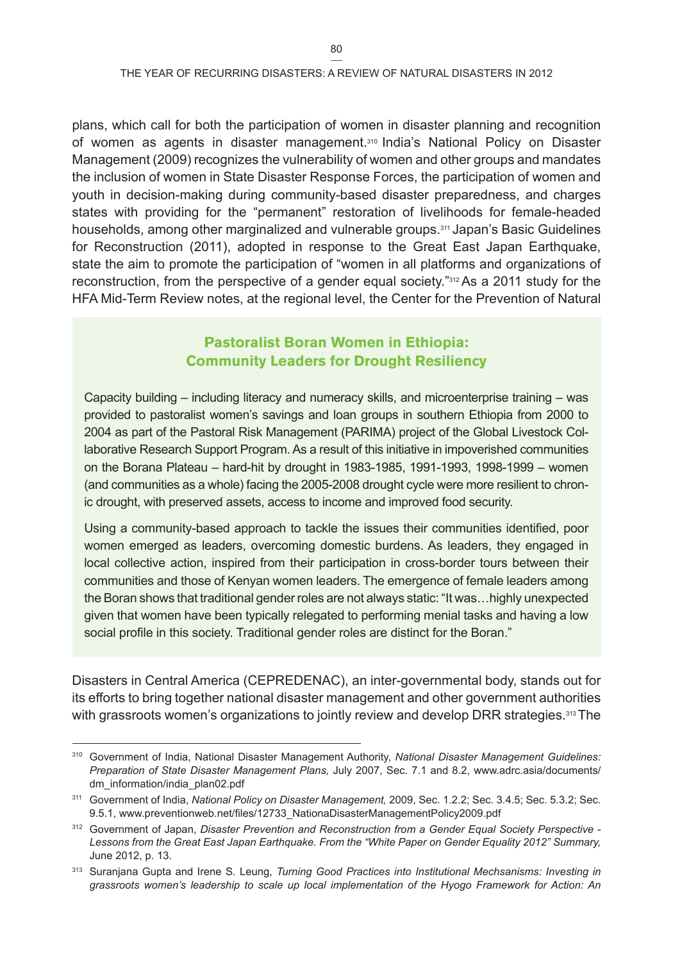#### THE YEAR OF RECURRING DISASTERS: A REVIEW OF NATURAL DISASTERS IN 2012

plans, which call for both the participation of women in disaster planning and recognition of women as agents in disaster management.310 India's National Policy on Disaster Management (2009) recognizes the vulnerability of women and other groups and mandates the inclusion of women in State Disaster Response Forces, the participation of women and youth in decision-making during community-based disaster preparedness, and charges states with providing for the "permanent" restoration of livelihoods for female-headed households, among other marginalized and vulnerable groups.311 Japan's Basic Guidelines for Reconstruction (2011), adopted in response to the Great East Japan Earthquake, state the aim to promote the participation of "women in all platforms and organizations of reconstruction, from the perspective of a gender equal society."312As a 2011 study for the HFA Mid-Term Review notes, at the regional level, the Center for the Prevention of Natural

## **Pastoralist Boran Women in Ethiopia: Community Leaders for Drought Resiliency**

Capacity building – including literacy and numeracy skills, and microenterprise training – was provided to pastoralist women's savings and loan groups in southern Ethiopia from 2000 to 2004 as part of the Pastoral Risk Management (PARIMA) project of the Global Livestock Collaborative Research Support Program. As a result of this initiative in impoverished communities on the Borana Plateau – hard-hit by drought in 1983-1985, 1991-1993, 1998-1999 – women (and communities as a whole) facing the 2005-2008 drought cycle were more resilient to chronic drought, with preserved assets, access to income and improved food security.

Using a community-based approach to tackle the issues their communities identified, poor women emerged as leaders, overcoming domestic burdens. As leaders, they engaged in local collective action, inspired from their participation in cross-border tours between their communities and those of Kenyan women leaders. The emergence of female leaders among the Boran shows that traditional gender roles are not always static: "It was…highly unexpected given that women have been typically relegated to performing menial tasks and having a low social profile in this society. Traditional gender roles are distinct for the Boran."

Disasters in Central America (CEPREDENAC), an inter-governmental body, stands out for its efforts to bring together national disaster management and other government authorities with grassroots women's organizations to jointly review and develop DRR strategies.<sup>313</sup> The

<sup>310</sup> Government of India, National Disaster Management Authority, *National Disaster Management Guidelines: Preparation of State Disaster Management Plans,* July 2007, Sec. 7.1 and 8.2, [www.adrc.asia/documents/](www.adrc.asia/documents/dm_information/india_plan02.pdf) [dm\\_information/india\\_plan02.pdf](www.adrc.asia/documents/dm_information/india_plan02.pdf)

<sup>311</sup> Government of India, *National Policy on Disaster Management,* 2009, Sec. 1.2.2; Sec. 3.4.5; Sec. 5.3.2; Sec. 9.5.1, [www.preventionweb.net/files/12733\\_NationaDisasterManagementPolicy2009.pdf](www.preventionweb.net/files/12733_NationaDisasterManagementPolicy2009.pdf)

<sup>312</sup> Government of Japan, *Disaster Prevention and Reconstruction from a Gender Equal Society Perspective - Lessons from the Great East Japan Earthquake. From the "White Paper on Gender Equality 2012" Summary,*  June 2012, p. 13.

<sup>313</sup> Suranjana Gupta and Irene S. Leung, *Turning Good Practices into Institutional Mechsanisms: Investing in grassroots women's leadership to scale up local implementation of the Hyogo Framework for Action: An*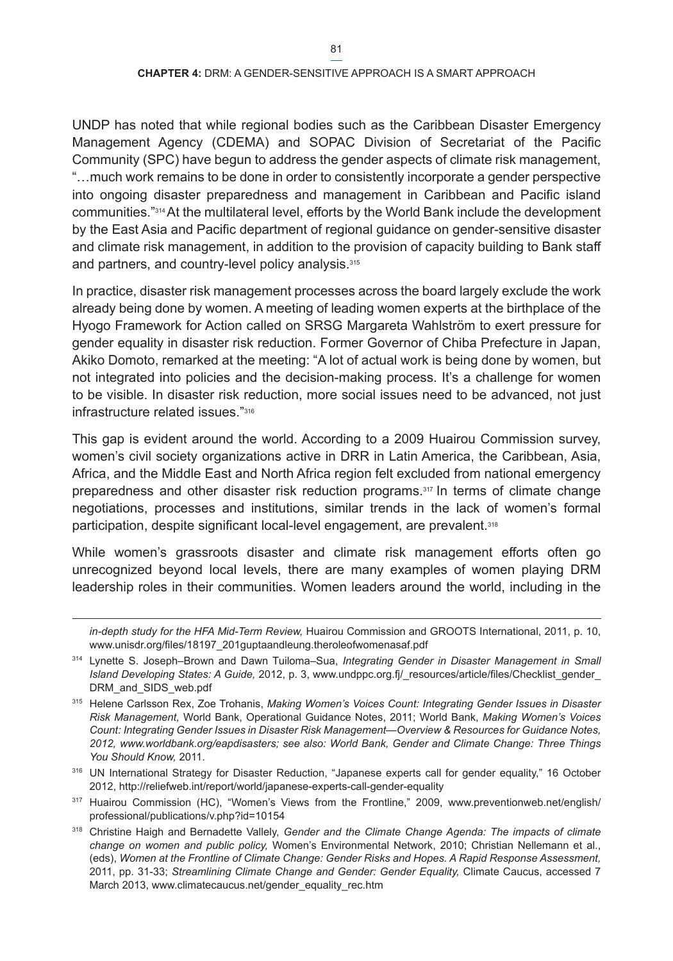UNDP has noted that while regional bodies such as the Caribbean Disaster Emergency Management Agency (CDEMA) and SOPAC Division of Secretariat of the Pacific Community (SPC) have begun to address the gender aspects of climate risk management, "…much work remains to be done in order to consistently incorporate a gender perspective into ongoing disaster preparedness and management in Caribbean and Pacific island communities."314 At the multilateral level, efforts by the World Bank include the development by the East Asia and Pacific department of regional guidance on gender-sensitive disaster and climate risk management, in addition to the provision of capacity building to Bank staff and partners, and country-level policy analysis. 315

In practice, disaster risk management processes across the board largely exclude the work already being done by women. A meeting of leading women experts at the birthplace of the Hyogo Framework for Action called on SRSG Margareta Wahlström to exert pressure for gender equality in disaster risk reduction. Former Governor of Chiba Prefecture in Japan, Akiko Domoto, remarked at the meeting: "A lot of actual work is being done by women, but not integrated into policies and the decision-making process. It's a challenge for women to be visible. In disaster risk reduction, more social issues need to be advanced, not just infrastructure related issues."316

This gap is evident around the world. According to a 2009 Huairou Commission survey, women's civil society organizations active in DRR in Latin America, the Caribbean, Asia, Africa, and the Middle East and North Africa region felt excluded from national emergency preparedness and other disaster risk reduction programs.317 In terms of climate change negotiations, processes and institutions, similar trends in the lack of women's formal participation, despite significant local-level engagement, are prevalent.<sup>318</sup>

While women's grassroots disaster and climate risk management efforts often go unrecognized beyond local levels, there are many examples of women playing DRM leadership roles in their communities. Women leaders around the world, including in the

*in-depth study for the HFA Mid-Term Review,* Huairou Commission and GROOTS International, 2011, p. 10, [www.unisdr.org/files/18197\\_201guptaandleung.theroleofwomenasaf.pdf](www.unisdr.org/files/18197_201guptaandleung.theroleofwomenasaf.pdf)

- 316 UN International Strategy for Disaster Reduction, "Japanese experts call for gender equality," 16 October 2012,<http://reliefweb.int/report/world/japanese>-experts-call-gender-equality
- 317 Huairou Commission (HC), "Women's Views from the Frontline," 2009, [www.preventionweb.net/english/](www.preventionweb.net/english/professional/publications/v.php?id=10154) [professional/publications/v.php?id=10154](www.preventionweb.net/english/professional/publications/v.php?id=10154)
- <sup>318</sup> Christine Haigh and Bernadette Vallely, *Gender and the Climate Change Agenda: The impacts of climate change on women and public policy,* Women's Environmental Network, 2010; Christian Nellemann et al., (eds), *Women at the Frontline of Climate Change: Gender Risks and Hopes. A Rapid Response Assessment,*  2011, pp. 31-33; *Streamlining Climate Change and Gender: Gender Equality,* Climate Caucus, accessed 7 March 2013, [www.climatecaucus.net/gender\\_equality\\_rec.htm](www.climatecaucus.net/gender_equality_rec.htm)

<sup>314</sup> Lynette S. Joseph–Brown and Dawn Tuiloma–Sua, *Integrating Gender in Disaster Management in Small Island Developing States: A Guide,* 2012, p. 3, [www.undppc.org.fj/\\_resources/article/files/Checklist\\_gender\\_](www.undppc.org.fj/_resources/article/files/Checklist_gender_DRM_and_SIDS_web.pdf) [DRM\\_and\\_SIDS\\_web.pdf](www.undppc.org.fj/_resources/article/files/Checklist_gender_DRM_and_SIDS_web.pdf)

<sup>315</sup> Helene Carlsson Rex, Zoe Trohanis, *Making Women's Voices Count: Integrating Gender Issues in Disaster Risk Management,* World Bank, Operational Guidance Notes, 2011; World Bank, *Making Women's Voices Count: Integrating Gender Issues in Disaster Risk Management—Overview & Resources for Guidance Notes, 2012, [www.worldbank.org/eapdisasters;](www.worldbank.org/eapdisasters) see also: World Bank, Gender and Climate Change: Three Things You Should Know,* 2011.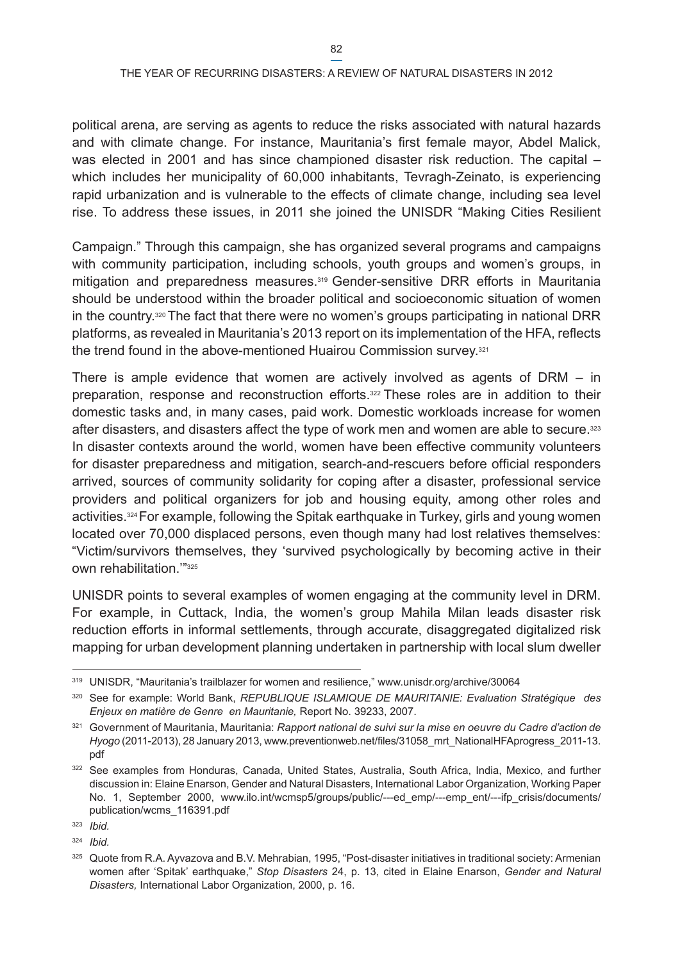political arena, are serving as agents to reduce the risks associated with natural hazards and with climate change. For instance, Mauritania's first female mayor, Abdel Malick, was elected in 2001 and has since championed disaster risk reduction. The capital – which includes her municipality of 60,000 inhabitants, Tevragh-Zeinato, is experiencing rapid urbanization and is vulnerable to the effects of climate change, including sea level rise. To address these issues, in 2011 she joined the UNISDR "Making Cities Resilient

Campaign." Through this campaign, she has organized several programs and campaigns with community participation, including schools, youth groups and women's groups, in mitigation and preparedness measures.319 Gender-sensitive DRR efforts in Mauritania should be understood within the broader political and socioeconomic situation of women in the country.<sup>320</sup> The fact that there were no women's groups participating in national DRR platforms, as revealed in Mauritania's 2013 report on its implementation of the HFA, reflects the trend found in the above-mentioned Huairou Commission survey.<sup>321</sup>

There is ample evidence that women are actively involved as agents of DRM – in preparation, response and reconstruction efforts.322 These roles are in addition to their domestic tasks and, in many cases, paid work. Domestic workloads increase for women after disasters, and disasters affect the type of work men and women are able to secure.323 In disaster contexts around the world, women have been effective community volunteers for disaster preparedness and mitigation, search-and-rescuers before official responders arrived, sources of community solidarity for coping after a disaster, professional service providers and political organizers for job and housing equity, among other roles and activities.324 For example, following the Spitak earthquake in Turkey, girls and young women located over 70,000 displaced persons, even though many had lost relatives themselves: "Victim/survivors themselves, they 'survived psychologically by becoming active in their own rehabilitation.'"325

UNISDR points to several examples of women engaging at the community level in DRM. For example, in Cuttack, India, the women's group Mahila Milan leads disaster risk reduction efforts in informal settlements, through accurate, disaggregated digitalized risk mapping for urban development planning undertaken in partnership with local slum dweller

<sup>&</sup>lt;sup>319</sup> UNISDR, "Mauritania's trailblazer for women and resilience," <www.unisdr.org/archive/30064>

<sup>320</sup> See for example: World Bank, *REPUBLIQUE ISLAMIQUE DE MAURITANIE: Evaluation Stratégique des Enjeux en matière de Genre en Mauritanie,* Report No. 39233, 2007.

<sup>321</sup> Government of Mauritania, Mauritania: *Rapport national de suivi sur la mise en oeuvre du Cadre d'action de Hyogo* (2011-2013), 28 January 2013, [www.preventionweb.net/files/31058\\_mrt\\_NationalHFAprogress\\_2011-13.](www.preventionweb.net/files/31058_mrt_NationalHFAprogress_2011-13.pdf) [pdf](www.preventionweb.net/files/31058_mrt_NationalHFAprogress_2011-13.pdf)

<sup>322</sup> See examples from Honduras, Canada, United States, Australia, South Africa, India, Mexico, and further discussion in: Elaine Enarson, Gender and Natural Disasters, International Labor Organization, Working Paper No. 1, September 2000, [www.ilo.int/wcmsp5/groups/public/---ed\\_emp/---emp\\_ent/---ifp\\_crisis/documents/](www.ilo.int/wcmsp5/groups/public/---ed_emp/---emp_ent/---ifp_crisis/documents/publication/wcms_116391.pdf) [publication/wcms\\_116391.pdf](www.ilo.int/wcmsp5/groups/public/---ed_emp/---emp_ent/---ifp_crisis/documents/publication/wcms_116391.pdf)

<sup>323</sup> *Ibid.*

<sup>324</sup> *Ibid.*

<sup>325</sup> Quote from R.A. Ayvazova and B.V. Mehrabian, 1995, "Post-disaster initiatives in traditional society: Armenian women after 'Spitak' earthquake," *Stop Disasters* 24, p. 13, cited in Elaine Enarson, *Gender and Natural Disasters,* International Labor Organization, 2000, p. 16.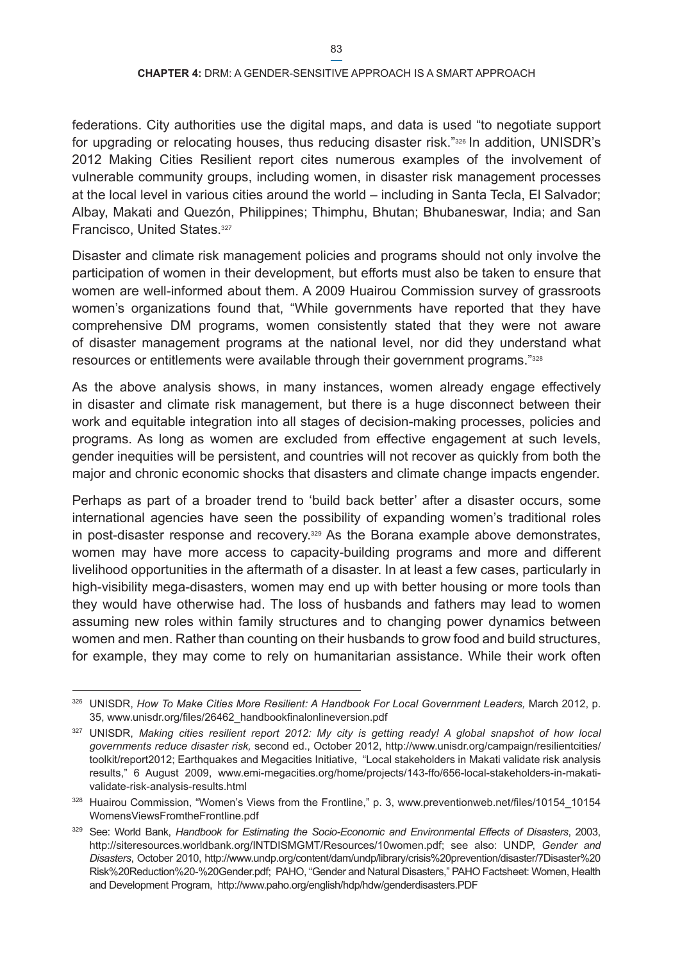federations. City authorities use the digital maps, and data is used "to negotiate support for upgrading or relocating houses, thus reducing disaster risk."<sup>326</sup> In addition, UNISDR's 2012 Making Cities Resilient report cites numerous examples of the involvement of vulnerable community groups, including women, in disaster risk management processes at the local level in various cities around the world – including in Santa Tecla, El Salvador; Albay, Makati and Quezón, Philippines; Thimphu, Bhutan; Bhubaneswar, India; and San Francisco, United States.327

Disaster and climate risk management policies and programs should not only involve the participation of women in their development, but efforts must also be taken to ensure that women are well-informed about them. A 2009 Huairou Commission survey of grassroots women's organizations found that, "While governments have reported that they have comprehensive DM programs, women consistently stated that they were not aware of disaster management programs at the national level, nor did they understand what resources or entitlements were available through their government programs."328

As the above analysis shows, in many instances, women already engage effectively in disaster and climate risk management, but there is a huge disconnect between their work and equitable integration into all stages of decision-making processes, policies and programs. As long as women are excluded from effective engagement at such levels, gender inequities will be persistent, and countries will not recover as quickly from both the major and chronic economic shocks that disasters and climate change impacts engender.

Perhaps as part of a broader trend to 'build back better' after a disaster occurs, some international agencies have seen the possibility of expanding women's traditional roles in post-disaster response and recovery.329 As the Borana example above demonstrates, women may have more access to capacity-building programs and more and different livelihood opportunities in the aftermath of a disaster. In at least a few cases, particularly in high-visibility mega-disasters, women may end up with better housing or more tools than they would have otherwise had. The loss of husbands and fathers may lead to women assuming new roles within family structures and to changing power dynamics between women and men. Rather than counting on their husbands to grow food and build structures, for example, they may come to rely on humanitarian assistance. While their work often

<sup>326</sup> UNISDR, *How To Make Cities More Resilient: A Handbook For Local Government Leaders,* March 2012, p. 35, [www.unisdr.org/files/26462\\_handbookfinalonlineversion.pdf](www.unisdr.org/files/26462_handbookfinalonlineversion.pdf)

<sup>327</sup> UNISDR, *Making cities resilient report 2012: My city is getting ready! A global snapshot of how local governments reduce disaster risk,* second ed., October 2012, [http://www.unisdr.org/campaign/resilientcities/](http://www.unisdr.org/campaign/resilientcities/toolkit/report2012) [toolkit/report2012;](http://www.unisdr.org/campaign/resilientcities/toolkit/report2012) Earthquakes and Megacities Initiative, "Local stakeholders in Makati validate risk analysis results," 6 August 2009, <www.emi>[-megacities.org/home/projects/](-megacities.org/home/projects)143-ffo/[656-local-stakeholders-in-makati](656-local-stakeholders-in-makati-validate-risk-analysis-results.html)[validate-risk-analysis-results.html](656-local-stakeholders-in-makati-validate-risk-analysis-results.html) 

<sup>328</sup> Huairou Commission, "Women's Views from the Frontline," p. 3, [www.preventionweb.net/files/10154\\_10154](www.preventionweb.net/files/10154_10154WomensViewsFromtheFrontline.pdf) [WomensViewsFromtheFrontline.pdf](www.preventionweb.net/files/10154_10154WomensViewsFromtheFrontline.pdf)

<sup>329</sup> See: World Bank, *Handbook for Estimating the Socio-Economic and Environmental Effects of Disasters*, 2003, [http://siteresources.worldbank.org/INTDISMGMT/Resources/10women.pdf;](http://siteresources.worldbank.org/INTDISMGMT/Resources/10women.pdf) see also: UNDP, *Gender and Disasters*, October 2010, [http://www.undp.org/content/dam/undp/library/crisis%20prevention/disaster/7Disaster%20](http://www.undp.org/content/dam/undp/library/crisis%20prevention/disaster/7Disaster%20Risk%20Reduction%20-%20Gender.pdf) [Risk%20Reduction%20-%20Gender.pdf;](http://www.undp.org/content/dam/undp/library/crisis%20prevention/disaster/7Disaster%20Risk%20Reduction%20-%20Gender.pdf) PAHO, "Gender and Natural Disasters," PAHO Factsheet: Women, Health and Development Program, <http://www.paho.org/english/hdp/hdw/genderdisasters.PDF>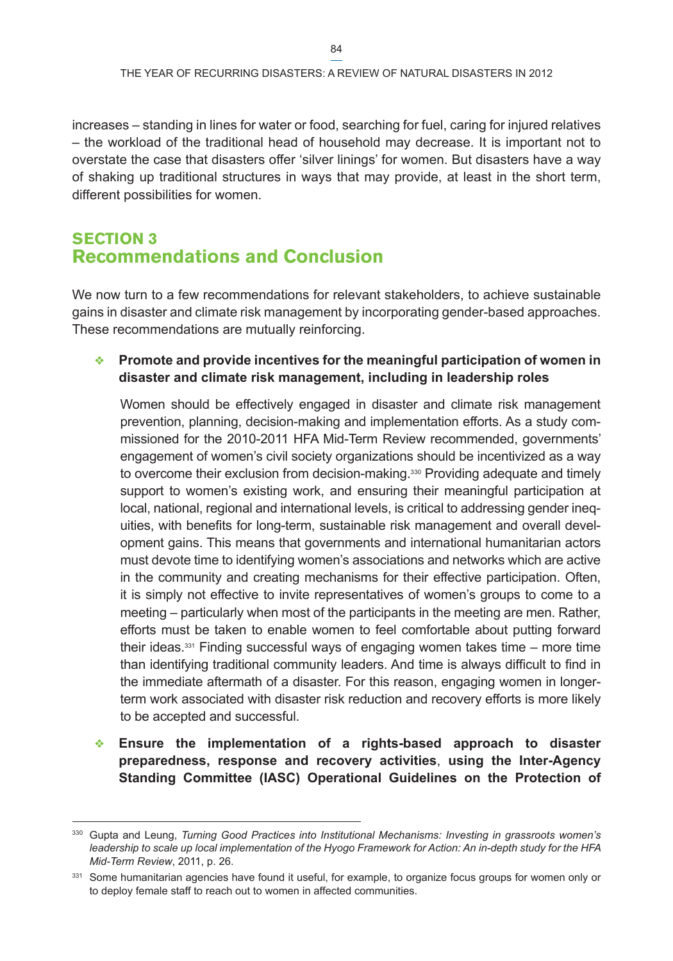increases – standing in lines for water or food, searching for fuel, caring for injured relatives – the workload of the traditional head of household may decrease. It is important not to overstate the case that disasters offer 'silver linings' for women. But disasters have a way of shaking up traditional structures in ways that may provide, at least in the short term, different possibilities for women.

# **Section 3 Recommendations and Conclusion**

We now turn to a few recommendations for relevant stakeholders, to achieve sustainable gains in disaster and climate risk management by incorporating gender-based approaches. These recommendations are mutually reinforcing.

### ❖ **Promote and provide incentives for the meaningful participation of women in disaster and climate risk management, including in leadership roles**

Women should be effectively engaged in disaster and climate risk management prevention, planning, decision-making and implementation efforts. As a study commissioned for the 2010-2011 HFA Mid-Term Review recommended, governments' engagement of women's civil society organizations should be incentivized as a way to overcome their exclusion from decision-making.<sup>330</sup> Providing adequate and timely support to women's existing work, and ensuring their meaningful participation at local, national, regional and international levels, is critical to addressing gender inequities, with benefits for long-term, sustainable risk management and overall development gains. This means that governments and international humanitarian actors must devote time to identifying women's associations and networks which are active in the community and creating mechanisms for their effective participation. Often, it is simply not effective to invite representatives of women's groups to come to a meeting – particularly when most of the participants in the meeting are men. Rather, efforts must be taken to enable women to feel comfortable about putting forward their ideas.331 Finding successful ways of engaging women takes time – more time than identifying traditional community leaders. And time is always difficult to find in the immediate aftermath of a disaster. For this reason, engaging women in longerterm work associated with disaster risk reduction and recovery efforts is more likely to be accepted and successful.

❖ **Ensure the implementation of a rights-based approach to disaster preparedness, response and recovery activities**, **using the Inter-Agency Standing Committee (IASC) Operational Guidelines on the Protection of** 

<sup>330</sup> Gupta and Leung, *Turning Good Practices into Institutional Mechanisms: Investing in grassroots women's leadership to scale up local implementation of the Hyogo Framework for Action: An in-depth study for the HFA Mid-Term Review*, 2011, p. 26.

<sup>&</sup>lt;sup>331</sup> Some humanitarian agencies have found it useful, for example, to organize focus groups for women only or to deploy female staff to reach out to women in affected communities.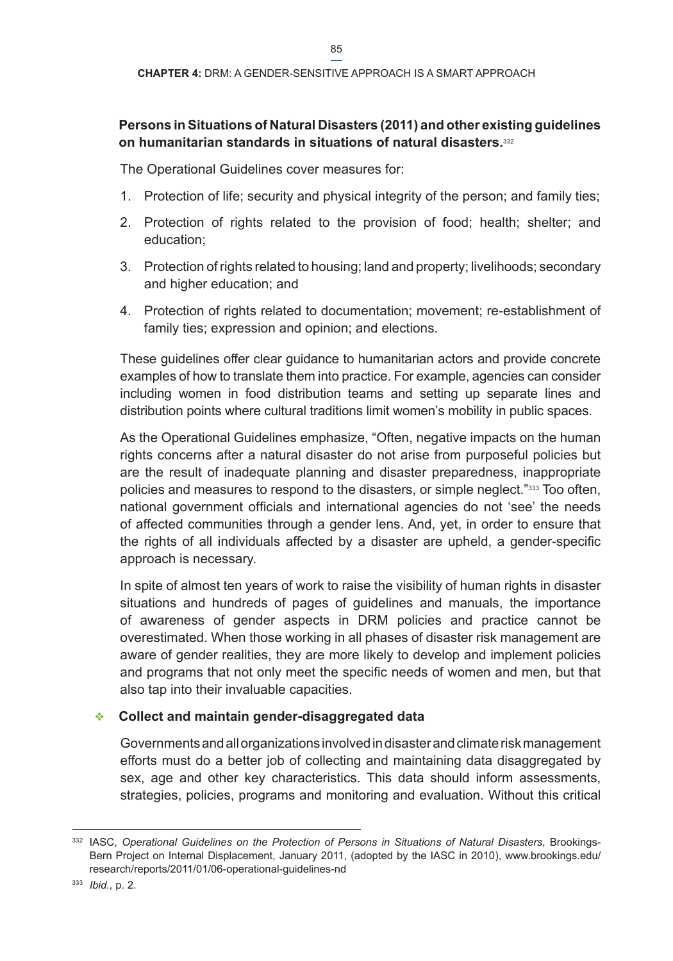### **Persons in Situations of Natural Disasters (2011) and other existing guidelines on humanitarian standards in situations of natural disasters.**<sup>332</sup>

The Operational Guidelines cover measures for:

- 1. Protection of life; security and physical integrity of the person; and family ties;
- 2. Protection of rights related to the provision of food; health; shelter; and education;
- 3. Protection of rights related to housing; land and property; livelihoods; secondary and higher education; and
- 4. Protection of rights related to documentation; movement; re-establishment of family ties; expression and opinion; and elections.

These guidelines offer clear guidance to humanitarian actors and provide concrete examples of how to translate them into practice. For example, agencies can consider including women in food distribution teams and setting up separate lines and distribution points where cultural traditions limit women's mobility in public spaces.

As the Operational Guidelines emphasize, "Often, negative impacts on the human rights concerns after a natural disaster do not arise from purposeful policies but are the result of inadequate planning and disaster preparedness, inappropriate policies and measures to respond to the disasters, or simple neglect."333 Too often, national government officials and international agencies do not 'see' the needs of affected communities through a gender lens. And, yet, in order to ensure that the rights of all individuals affected by a disaster are upheld, a gender-specific approach is necessary.

In spite of almost ten years of work to raise the visibility of human rights in disaster situations and hundreds of pages of guidelines and manuals, the importance of awareness of gender aspects in DRM policies and practice cannot be overestimated. When those working in all phases of disaster risk management are aware of gender realities, they are more likely to develop and implement policies and programs that not only meet the specific needs of women and men, but that also tap into their invaluable capacities.

### ❖ **Collect and maintain gender-disaggregated data**

Governments and all organizations involved in disaster and climate risk management efforts must do a better job of collecting and maintaining data disaggregated by sex, age and other key characteristics. This data should inform assessments, strategies, policies, programs and monitoring and evaluation. Without this critical

<sup>332</sup> IASC, *Operational Guidelines on the Protection of Persons in Situations of Natural Disasters*, Brookings-Bern Project on Internal Displacement, January 2011, (adopted by the IASC in 2010), [www.brookings.edu/](www.brookings.edu/research/reports/2011/01/06-operational-guidelines-nd) [research/reports/2011/01/06-operational-guidelines-nd](www.brookings.edu/research/reports/2011/01/06-operational-guidelines-nd)

<sup>333</sup> *Ibid.,* p. 2.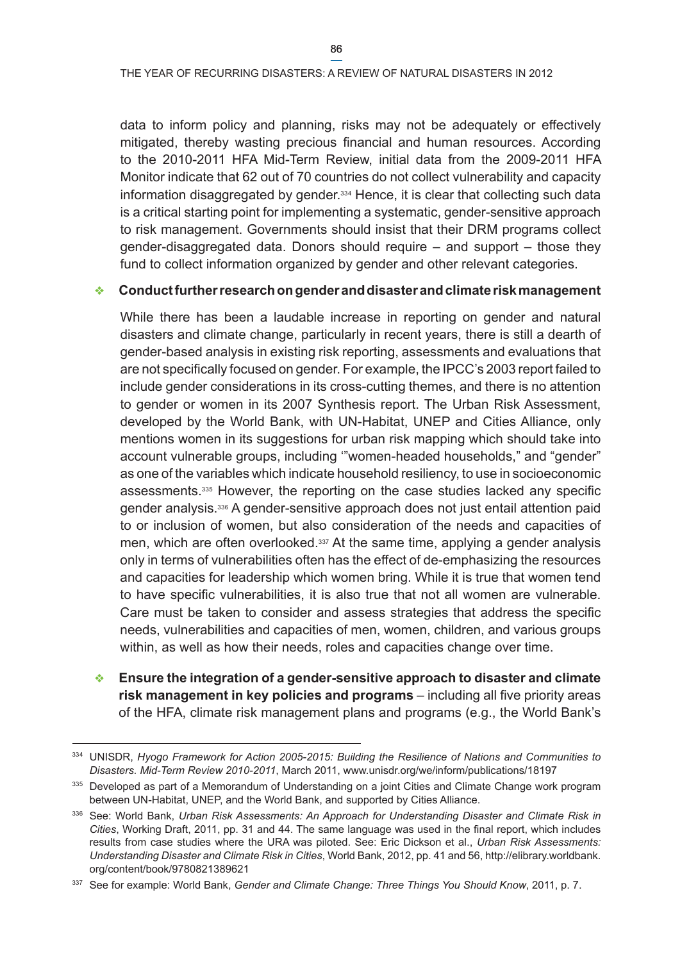data to inform policy and planning, risks may not be adequately or effectively mitigated, thereby wasting precious financial and human resources. According

to the 2010-2011 HFA Mid-Term Review, initial data from the 2009-2011 HFA Monitor indicate that 62 out of 70 countries do not collect vulnerability and capacity information disaggregated by gender.334 Hence, it is clear that collecting such data is a critical starting point for implementing a systematic, gender-sensitive approach to risk management. Governments should insist that their DRM programs collect gender-disaggregated data. Donors should require – and support – those they fund to collect information organized by gender and other relevant categories.

### ❖ **Conduct further research on gender and disaster and climate risk management**

While there has been a laudable increase in reporting on gender and natural disasters and climate change, particularly in recent years, there is still a dearth of gender-based analysis in existing risk reporting, assessments and evaluations that are not specifically focused on gender. For example, the IPCC's 2003 report failed to include gender considerations in its cross-cutting themes, and there is no attention to gender or women in its 2007 Synthesis report. The Urban Risk Assessment, developed by the World Bank, with UN-Habitat, UNEP and Cities Alliance, only mentions women in its suggestions for urban risk mapping which should take into account vulnerable groups, including '"women-headed households," and "gender" as one of the variables which indicate household resiliency, to use in socioeconomic assessments.335 However, the reporting on the case studies lacked any specific gender analysis.336 A gender-sensitive approach does not just entail attention paid to or inclusion of women, but also consideration of the needs and capacities of men, which are often overlooked.337 At the same time, applying a gender analysis only in terms of vulnerabilities often has the effect of de-emphasizing the resources and capacities for leadership which women bring. While it is true that women tend to have specific vulnerabilities, it is also true that not all women are vulnerable. Care must be taken to consider and assess strategies that address the specific needs, vulnerabilities and capacities of men, women, children, and various groups within, as well as how their needs, roles and capacities change over time.

❖ **Ensure the integration of a gender-sensitive approach to disaster and climate risk management in key policies and programs** – including all five priority areas of the HFA, climate risk management plans and programs (e.g., the World Bank's

<sup>334</sup> UNISDR, *Hyogo Framework for Action 2005-2015: Building the Resilience of Nations and Communities to Disasters. Mid-Term Review 2010-2011*, March 2011,<www.unisdr.org/we/inform/publications/18197>

<sup>335</sup> Developed as part of a Memorandum of Understanding on a joint Cities and Climate Change work program between UN-Habitat, UNEP, and the World Bank, and supported by Cities Alliance.

<sup>336</sup> See: World Bank, *Urban Risk Assessments: An Approach for Understanding Disaster and Climate Risk in Cities*, Working Draft, 2011, pp. 31 and 44. The same language was used in the final report, which includes results from case studies where the URA was piloted. See: Eric Dickson et al., *Urban Risk Assessments: Understanding Disaster and Climate Risk in Cities*, World Bank, 2012, pp. 41 and 56, [http://elibrary.worldbank.](http://elibrary.worldbank.org/content/book/9780821389621) [org/content/book/9780821389621](http://elibrary.worldbank.org/content/book/9780821389621) 

<sup>337</sup> See for example: World Bank, *Gender and Climate Change: Three Things You Should Know*, 2011, p. 7.